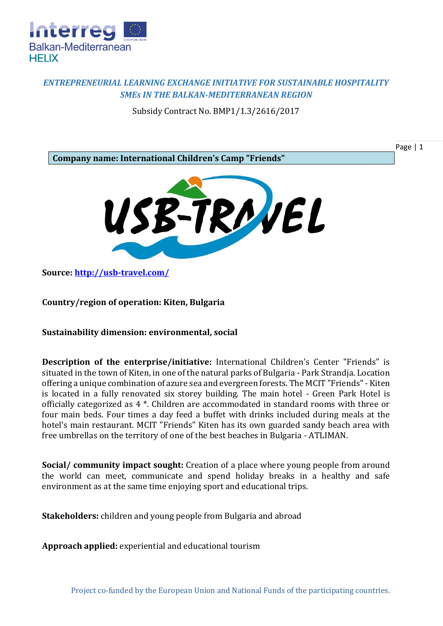

## *ENTREPRENEURIAL LEARNING EXCHANGE INITIATIVE FOR SUSTAINABLE HOSPITALITY SMEs IN THE BALKAN-MEDITERRANEAN REGION*

Subsidy Contract No. BMP1/1.3/2616/2017



Page | 1

**Source:<http://usb-travel.com/>**

**Country/region of operation: Kiten, Bulgaria**

**Sustainability dimension: environmental, social**

**Description of the enterprise/initiative:** International Children's Center "Friends" is situated in the town of Kiten, in one of the natural parks of Bulgaria - Park Strandja. Location offering a unique combination of azure sea and evergreen forests. The MCIT "Friends" - Kiten is located in a fully renovated six storey building. The main hotel - Green Park Hotel is officially categorized as 4 \*. Children are accommodated in standard rooms with three or four main beds. Four times a day feed a buffet with drinks included during meals at the hotel's main restaurant. MCIT "Friends" Kiten has its own guarded sandy beach area with free umbrellas on the territory of one of the best beaches in Bulgaria - ATLIMAN.

**Social/ community impact sought:** Creation of a place where young people from around the world can meet, communicate and spend holiday breaks in a healthy and safe environment as at the same time enjoying sport and educational trips.

**Stakeholders:** children and young people from Bulgaria and abroad

**Approach applied:** experiential and educational tourism